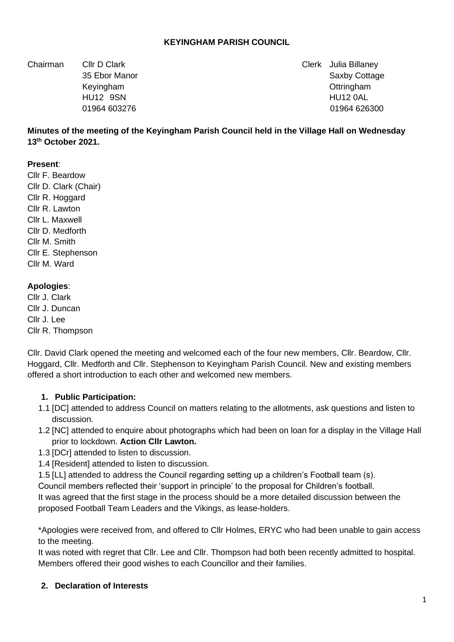### **KEYINGHAM PARISH COUNCIL**

Chairman Cllr D Clark Clerk Julia Billaney

35 Ebor Manor Saxby Cottage 35 Ebor Manor Saxby Cottage 35 Ebor Manor Saxby Cottage Keyingham Ottringham HU12 9SN HU12 0AL 01964 603276 01964 626300

### **Minutes of the meeting of the Keyingham Parish Council held in the Village Hall on Wednesday 13th October 2021.**

#### **Present**:

Cllr F. Beardow Cllr D. Clark (Chair) Cllr R. Hoggard Cllr R. Lawton Cllr L. Maxwell Cllr D. Medforth Cllr M. Smith Cllr E. Stephenson Cllr M. Ward

#### **Apologies**:

Cllr J. Clark Cllr J. Duncan Cllr J. Lee Cllr R. Thompson

Cllr. David Clark opened the meeting and welcomed each of the four new members, Cllr. Beardow, Cllr. Hoggard, Cllr. Medforth and Cllr. Stephenson to Keyingham Parish Council. New and existing members offered a short introduction to each other and welcomed new members.

#### **1. Public Participation:**

- 1.1 [DC] attended to address Council on matters relating to the allotments, ask questions and listen to discussion.
- 1.2 [NC] attended to enquire about photographs which had been on loan for a display in the Village Hall prior to lockdown. **Action Cllr Lawton.**
- 1.3 [DCr] attended to listen to discussion.
- 1.4 [Resident] attended to listen to discussion.
- 1.5 [LL] attended to address the Council regarding setting up a children's Football team (s).

Council members reflected their 'support in principle' to the proposal for Children's football.

It was agreed that the first stage in the process should be a more detailed discussion between the proposed Football Team Leaders and the Vikings, as lease-holders.

\*Apologies were received from, and offered to Cllr Holmes, ERYC who had been unable to gain access to the meeting.

It was noted with regret that Cllr. Lee and Cllr. Thompson had both been recently admitted to hospital. Members offered their good wishes to each Councillor and their families.

#### **2. Declaration of Interests**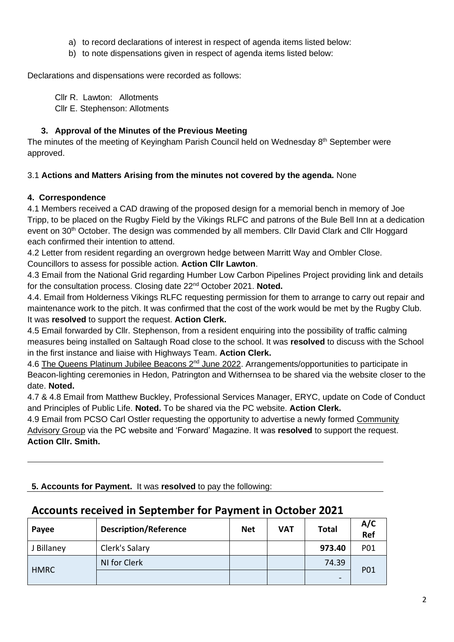- a) to record declarations of interest in respect of agenda items listed below:
- b) to note dispensations given in respect of agenda items listed below:

Declarations and dispensations were recorded as follows:

Cllr R. Lawton: Allotments Cllr E. Stephenson: Allotments

## **3. Approval of the Minutes of the Previous Meeting**

The minutes of the meeting of Keyingham Parish Council held on Wednesday 8<sup>th</sup> September were approved.

## 3.1 **Actions and Matters Arising from the minutes not covered by the agenda.** None

## **4. Correspondence**

4.1 Members received a CAD drawing of the proposed design for a memorial bench in memory of Joe Tripp, to be placed on the Rugby Field by the Vikings RLFC and patrons of the Bule Bell Inn at a dedication event on 30<sup>th</sup> October. The design was commended by all members. Cllr David Clark and Cllr Hoggard each confirmed their intention to attend.

4.2 Letter from resident regarding an overgrown hedge between Marritt Way and Ombler Close. Councillors to assess for possible action. **Action Cllr Lawton**.

4.3 Email from the National Grid regarding Humber Low Carbon Pipelines Project providing link and details for the consultation process. Closing date 22nd October 2021. **Noted.**

4.4. Email from Holderness Vikings RLFC requesting permission for them to arrange to carry out repair and maintenance work to the pitch. It was confirmed that the cost of the work would be met by the Rugby Club. It was **resolved** to support the request. **Action Clerk.**

4.5 Email forwarded by Cllr. Stephenson, from a resident enquiring into the possibility of traffic calming measures being installed on Saltaugh Road close to the school. It was **resolved** to discuss with the School in the first instance and liaise with Highways Team. **Action Clerk.**

4.6 The Queens Platinum Jubilee Beacons 2<sup>nd</sup> June 2022. Arrangements/opportunities to participate in Beacon-lighting ceremonies in Hedon, Patrington and Withernsea to be shared via the website closer to the date. **Noted.**

4.7 & 4.8 Email from Matthew Buckley, Professional Services Manager, ERYC, update on Code of Conduct and Principles of Public Life. **Noted.** To be shared via the PC website. **Action Clerk.**

4.9 Email from PCSO Carl Ostler requesting the opportunity to advertise a newly formed Community Advisory Group via the PC website and 'Forward' Magazine. It was **resolved** to support the request. **Action Cllr. Smith.**

**5. Accounts for Payment.** It was **resolved** to pay the following:

# **Accounts received in September for Payment in October 2021**

| Payee       | <b>Description/Reference</b> | <b>Net</b> | <b>VAT</b> | <b>Total</b> | A/C<br>Ref |
|-------------|------------------------------|------------|------------|--------------|------------|
| J Billaney  | Clerk's Salary               |            |            | 973.40       | P01        |
| <b>HMRC</b> | NI for Clerk                 |            |            | 74.39        | P01        |
|             |                              |            |            | -            |            |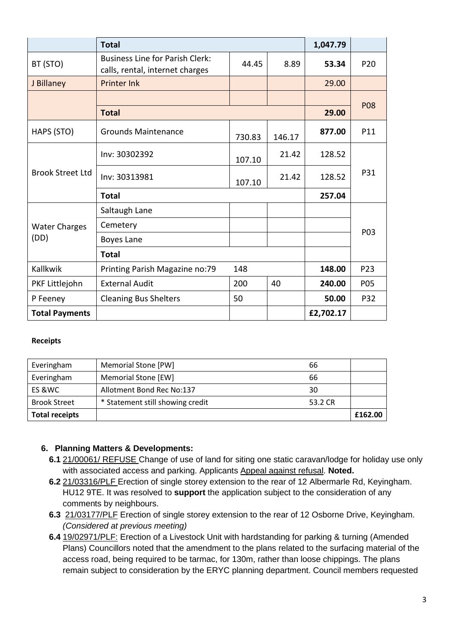|                              | <b>Total</b>                                                              |        |        | 1,047.79  |                 |
|------------------------------|---------------------------------------------------------------------------|--------|--------|-----------|-----------------|
| BT (STO)                     | <b>Business Line for Parish Clerk:</b><br>calls, rental, internet charges | 44.45  | 8.89   | 53.34     | P <sub>20</sub> |
| J Billaney                   | <b>Printer Ink</b>                                                        |        |        | 29.00     |                 |
|                              |                                                                           |        |        |           | <b>P08</b>      |
|                              | <b>Total</b>                                                              |        |        | 29.00     |                 |
| HAPS (STO)                   | <b>Grounds Maintenance</b>                                                | 730.83 | 146.17 | 877.00    | P11             |
| <b>Brook Street Ltd</b>      | Inv: 30302392                                                             | 107.10 | 21.42  | 128.52    | P31             |
|                              | Inv: 30313981                                                             | 107.10 | 21.42  | 128.52    |                 |
|                              | <b>Total</b>                                                              |        |        | 257.04    |                 |
| <b>Water Charges</b><br>(DD) | Saltaugh Lane                                                             |        |        |           | P03             |
|                              | Cemetery                                                                  |        |        |           |                 |
|                              | Boyes Lane                                                                |        |        |           |                 |
|                              | <b>Total</b>                                                              |        |        |           |                 |
| Kallkwik                     | Printing Parish Magazine no:79                                            | 148    |        | 148.00    | P23             |
| PKF Littlejohn               | <b>External Audit</b>                                                     | 200    | 40     | 240.00    | P05             |
| P Feeney                     | <b>Cleaning Bus Shelters</b>                                              | 50     |        | 50.00     | P32             |
| <b>Total Payments</b>        |                                                                           |        |        | £2,702.17 |                 |

#### **Receipts**

| Everingham            | Memorial Stone [PW]              | 66      |         |
|-----------------------|----------------------------------|---------|---------|
| Everingham            | Memorial Stone [EW]              | 66      |         |
| ES & WC               | Allotment Bond Rec No:137        | 30      |         |
| <b>Brook Street</b>   | * Statement still showing credit | 53.2 CR |         |
| <b>Total receipts</b> |                                  |         | £162.00 |

### **6. Planning Matters & Developments:**

- **6.1** 21/00061/ REFUSE Change of use of land for siting one static caravan/lodge for holiday use only with associated access and parking. Applicants Appeal against refusal. **Noted.**
- **6.2** 21/03316/PLF Erection of single storey extension to the rear of 12 Albermarle Rd, Keyingham. HU12 9TE. It was resolved to **support** the application subject to the consideration of any comments by neighbours.
- **6.3** 21/03177/PLF Erection of single storey extension to the rear of 12 Osborne Drive, Keyingham. *(Considered at previous meeting)*
- **6.4** 19/02971/PLF: Erection of a Livestock Unit with hardstanding for parking & turning (Amended Plans) Councillors noted that the amendment to the plans related to the surfacing material of the access road, being required to be tarmac, for 130m, rather than loose chippings. The plans remain subject to consideration by the ERYC planning department. Council members requested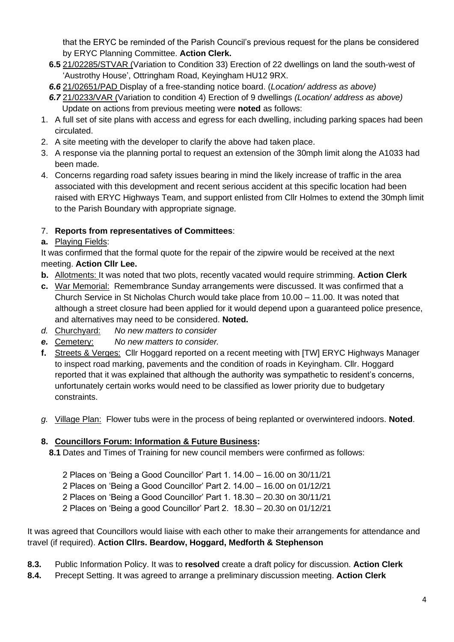that the ERYC be reminded of the Parish Council's previous request for the plans be considered by ERYC Planning Committee. **Action Clerk.**

- **6.5** 21/02285/STVAR (Variation to Condition 33) Erection of 22 dwellings on land the south-west of 'Austrothy House', Ottringham Road, Keyingham HU12 9RX.
- *6.6* 21/02651/PAD Display of a free-standing notice board. (*Location/ address as above)*
- *6.7* 21/0233/VAR (Variation to condition 4) Erection of 9 dwellings *(Location/ address as above)* Update on actions from previous meeting were **noted** as follows:
- 1. A full set of site plans with access and egress for each dwelling, including parking spaces had been circulated.
- 2. A site meeting with the developer to clarify the above had taken place.
- 3. A response via the planning portal to request an extension of the 30mph limit along the A1033 had been made.
- 4. Concerns regarding road safety issues bearing in mind the likely increase of traffic in the area associated with this development and recent serious accident at this specific location had been raised with ERYC Highways Team, and support enlisted from Cllr Holmes to extend the 30mph limit to the Parish Boundary with appropriate signage.

# 7. **Reports from representatives of Committees**:

**a.** Playing Fields:

It was confirmed that the formal quote for the repair of the zipwire would be received at the next meeting. **Action Cllr Lee.**

- **b.** Allotments: It was noted that two plots, recently vacated would require strimming. **Action Clerk**
- **c.** War Memorial: Remembrance Sunday arrangements were discussed. It was confirmed that a Church Service in St Nicholas Church would take place from 10.00 – 11.00. It was noted that although a street closure had been applied for it would depend upon a guaranteed police presence, and alternatives may need to be considered. **Noted.**
- *d.* Churchyard: *No new matters to consider*
- *e.* Cemetery: *No new matters to consider.*
- **f.** Streets & Verges: Cllr Hoggard reported on a recent meeting with [TW] ERYC Highways Manager to inspect road marking, pavements and the condition of roads in Keyingham. Cllr. Hoggard reported that it was explained that although the authority was sympathetic to resident's concerns, unfortunately certain works would need to be classified as lower priority due to budgetary constraints.
- *g.* Village Plan: Flower tubs were in the process of being replanted or overwintered indoors. **Noted**.

## **8. Councillors Forum: Information & Future Business:**

- **8.1** Dates and Times of Training for new council members were confirmed as follows:
	- 2 Places on 'Being a Good Councillor' Part 1. 14.00 16.00 on 30/11/21
	- 2 Places on 'Being a Good Councillor' Part 2. 14.00 16.00 on 01/12/21
	- 2 Places on 'Being a Good Councillor' Part 1. 18.30 20.30 on 30/11/21

2 Places on 'Being a good Councillor' Part 2. 18.30 – 20.30 on 01/12/21

It was agreed that Councillors would liaise with each other to make their arrangements for attendance and travel (if required). **Action Cllrs. Beardow, Hoggard, Medforth & Stephenson**

- **8.3.** Public Information Policy. It was to **resolved** create a draft policy for discussion. **Action Clerk**
- **8.4.** Precept Setting. It was agreed to arrange a preliminary discussion meeting. **Action Clerk**